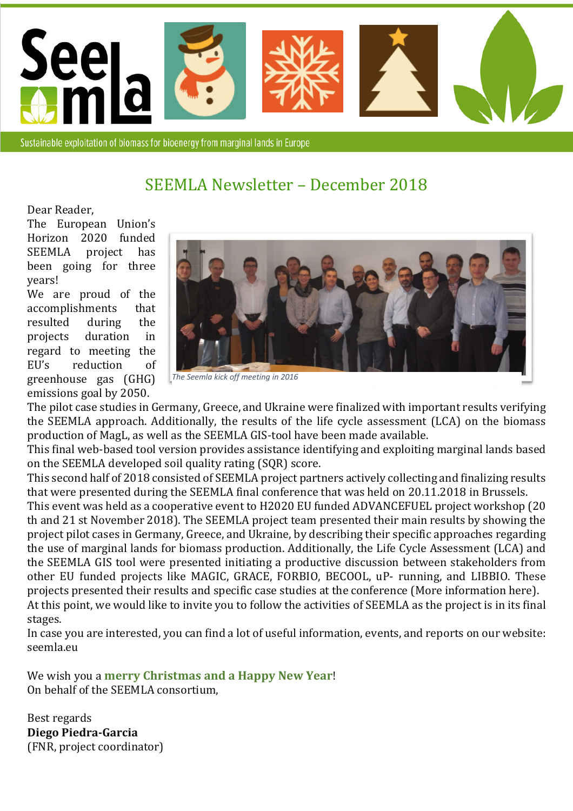

Sustainable exploitation of biomass for bioenergy from marginal lands in Europe

## SEEMLA Newsletter – December 2018

Dear Reader,

The European Union's Horizon 2020 funded SEEMLA project has been going for three years!

We are proud of the accomplishments that resulted during the projects duration in regard to meeting the EU's reduction of greenhouse gas (GHG) emissions goal by 2050.



*The Seemla kick off meeting in 2016*

The pilot case studies in Germany, Greece, and Ukraine were finalized with important results verifying the SEEMLA approach. Additionally, the results of the life cycle assessment (LCA) on the biomass production of MagL, as well as the SEEMLA GIS-tool have been made available.

This final web-based tool version provides assistance identifying and exploiting marginal lands based on the SEEMLA developed soil quality rating (SQR) score.

This second half of 2018 consisted of SEEMLA project partners actively collecting and finalizing results that were presented during the SEEMLA final conference that was held on 20.11.2018 in Brussels.

This event was held as a cooperative event to H2020 EU funded ADVANCEFUEL project workshop (20 th and 21 st November 2018). The SEEMLA project team presented their main results by showing the project pilot cases in Germany, Greece, and Ukraine, by describing their specific approaches regarding the use of marginal lands for biomass production. Additionally, the Life Cycle Assessment (LCA) and the SEEMLA GIS tool were presented initiating a productive discussion between stakeholders from other EU funded projects like MAGIC, GRACE, FORBIO, BECOOL, uP- running, and LIBBIO. These projects presented their results and specific case studies at the conference (More information here). At this point, we would like to invite you to follow the activities of SEEMLA as the project is in its final stages.

In case you are interested, you can find a lot of useful information, events, and reports on our website: seemla.eu

We wish you a **merry Christmas and a Happy New Year**! On behalf of the SEEMLA consortium,

Best regards **Diego Piedra-Garcia**  (FNR, project coordinator)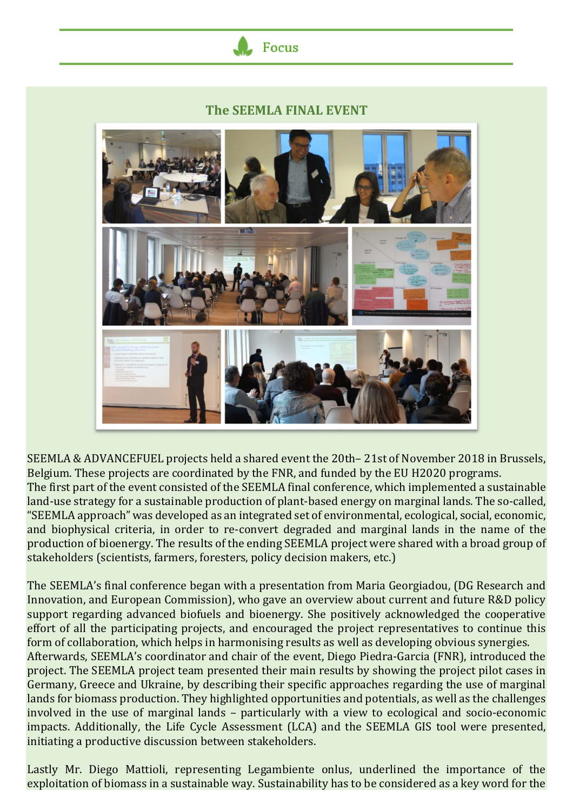## **The SEEMLA FINAL EVENT**

Focus



SEEMLA & ADVANCEFUEL projects held a shared event the 20th– 21st of November 2018 in Brussels, Belgium. These projects are coordinated by the FNR, and funded by the EU H2020 programs. The first part of the event consisted of the SEEMLA final conference, which implemented a sustainable land-use strategy for a sustainable production of plant-based energy on marginal lands. The so-called, "SEEMLA approach" was developed as an integrated set of environmental, ecological, social, economic, and biophysical criteria, in order to re-convert degraded and marginal lands in the name of the production of bioenergy. The results of the ending SEEMLA project were shared with a broad group of stakeholders (scientists, farmers, foresters, policy decision makers, etc.)

The SEEMLA's final conference began with a presentation from Maria Georgiadou, (DG Research and Innovation, and European Commission), who gave an overview about current and future R&D policy support regarding advanced biofuels and bioenergy. She positively acknowledged the cooperative effort of all the participating projects, and encouraged the project representatives to continue this form of collaboration, which helps in harmonising results as well as developing obvious synergies. Afterwards, SEEMLA's coordinator and chair of the event, Diego Piedra-Garcia (FNR), introduced the project. The SEEMLA project team presented their main results by showing the project pilot cases in Germany, Greece and Ukraine, by describing their specific approaches regarding the use of marginal lands for biomass production. They highlighted opportunities and potentials, as well as the challenges involved in the use of marginal lands – particularly with a view to ecological and socio-economic impacts. Additionally, the Life Cycle Assessment (LCA) and the SEEMLA GIS tool were presented, initiating a productive discussion between stakeholders.

Lastly Mr. Diego Mattioli, representing Legambiente onlus, underlined the importance of the exploitation of biomass in a sustainable way. Sustainability has to be considered as a key word for the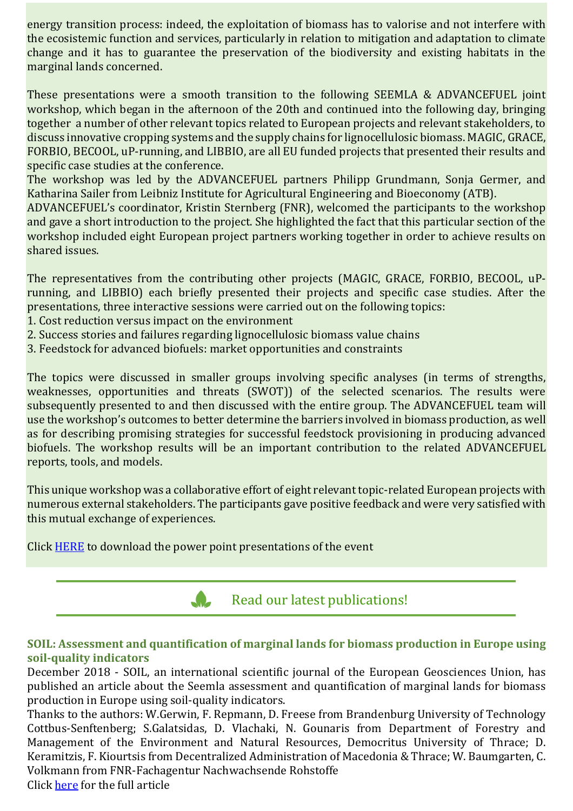energy transition process: indeed, the exploitation of biomass has to valorise and not interfere with the ecosistemic function and services, particularly in relation to mitigation and adaptation to climate change and it has to guarantee the preservation of the biodiversity and existing habitats in the marginal lands concerned.

These presentations were a smooth transition to the following SEEMLA & ADVANCEFUEL joint workshop, which began in the afternoon of the 20th and continued into the following day, bringing together a number of other relevant topics related to European projects and relevant stakeholders, to discuss innovative cropping systems and the supply chains for lignocellulosic biomass. MAGIC, GRACE, FORBIO, BECOOL, uP-running, and LIBBIO, are all EU funded projects that presented their results and specific case studies at the conference.

The workshop was led by the ADVANCEFUEL partners Philipp Grundmann, Sonja Germer, and Katharina Sailer from Leibniz Institute for Agricultural Engineering and Bioeconomy (ATB).

ADVANCEFUEL's coordinator, Kristin Sternberg (FNR), welcomed the participants to the workshop and gave a short introduction to the project. She highlighted the fact that this particular section of the workshop included eight European project partners working together in order to achieve results on shared issues.

The representatives from the contributing other projects (MAGIC, GRACE, FORBIO, BECOOL, uPrunning, and LIBBIO) each briefly presented their projects and specific case studies. After the presentations, three interactive sessions were carried out on the following topics:

- 1. Cost reduction versus impact on the environment
- 2. Success stories and failures regarding lignocellulosic biomass value chains
- 3. Feedstock for advanced biofuels: market opportunities and constraints

The topics were discussed in smaller groups involving specific analyses (in terms of strengths, weaknesses, opportunities and threats (SWOT)) of the selected scenarios. The results were subsequently presented to and then discussed with the entire group. The ADVANCEFUEL team will use the workshop's outcomes to better determine the barriers involved in biomass production, as well as for describing promising strategies for successful feedstock provisioning in producing advanced biofuels. The workshop results will be an important contribution to the related ADVANCEFUEL reports, tools, and models.

This unique workshop was a collaborative effort of eight relevant topic-related European projects with numerous external stakeholders. The participants gave positive feedback and were very satisfied with this mutual exchange of experiences.

Click HERE to download the power point presentations of the event



## **SOIL: Assessment and quantification of marginal lands for biomass production in Europe using soil-quality indicators**

December 2018 - SOIL, an international scientific journal of the European Geosciences Union, has published an article about the Seemla assessment and quantification of marginal lands for biomass production in Europe using soil-quality indicators.

Thanks to the authors: W.Gerwin, F. Repmann, D. Freese from Brandenburg University of Technology Cottbus-Senftenberg; S.Galatsidas, D. Vlachaki, N. Gounaris from Department of Forestry and Management of the Environment and Natural Resources, Democritus University of Thrace; D. Keramitzis, F. Kiourtsis from Decentralized Administration of Macedonia & Thrace; W. Baumgarten, C. Volkmann from FNR-Fachagentur Nachwachsende Rohstoffe Click here for the full article